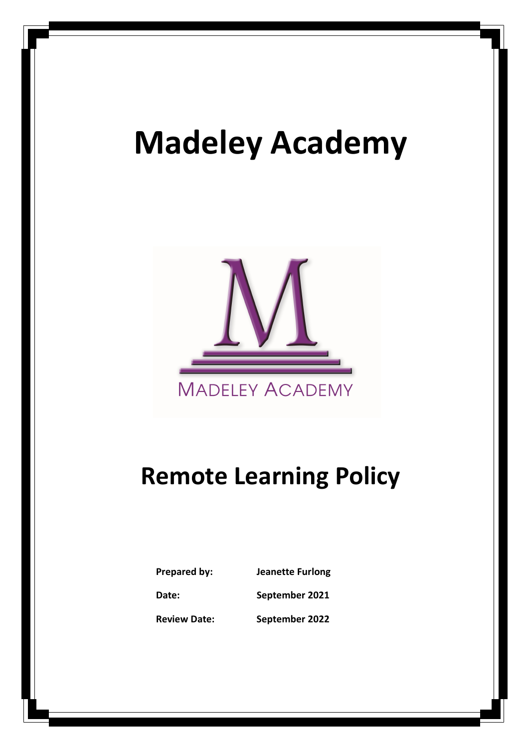# Madeley Academy



## Remote Learning Policy

| Prepared by:        | <b>Jeanette Furlong</b> |
|---------------------|-------------------------|
| Date:               | September 2021          |
| <b>Review Date:</b> | September 2022          |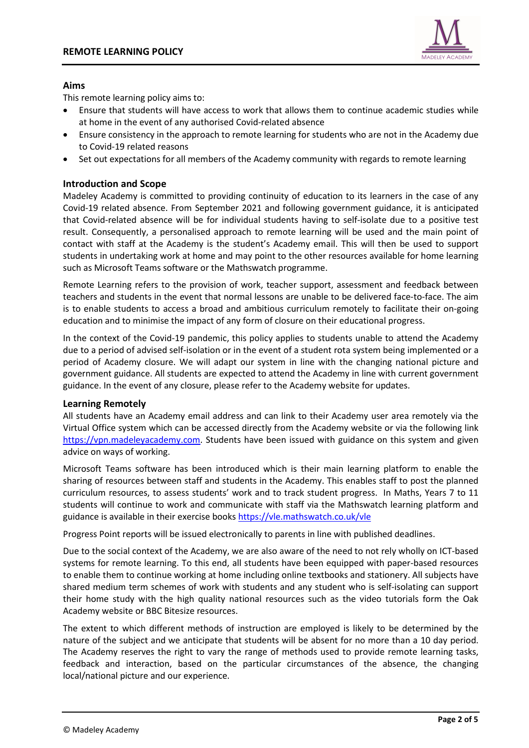

#### Aims

This remote learning policy aims to:

- Ensure that students will have access to work that allows them to continue academic studies while at home in the event of any authorised Covid-related absence
- Ensure consistency in the approach to remote learning for students who are not in the Academy due to Covid-19 related reasons
- Set out expectations for all members of the Academy community with regards to remote learning

#### Introduction and Scope

Madeley Academy is committed to providing continuity of education to its learners in the case of any Covid-19 related absence. From September 2021 and following government guidance, it is anticipated that Covid-related absence will be for individual students having to self-isolate due to a positive test result. Consequently, a personalised approach to remote learning will be used and the main point of contact with staff at the Academy is the student's Academy email. This will then be used to support students in undertaking work at home and may point to the other resources available for home learning such as Microsoft Teams software or the Mathswatch programme.

Remote Learning refers to the provision of work, teacher support, assessment and feedback between teachers and students in the event that normal lessons are unable to be delivered face-to-face. The aim is to enable students to access a broad and ambitious curriculum remotely to facilitate their on-going education and to minimise the impact of any form of closure on their educational progress.

In the context of the Covid-19 pandemic, this policy applies to students unable to attend the Academy due to a period of advised self-isolation or in the event of a student rota system being implemented or a period of Academy closure. We will adapt our system in line with the changing national picture and government guidance. All students are expected to attend the Academy in line with current government guidance. In the event of any closure, please refer to the Academy website for updates.

#### Learning Remotely

All students have an Academy email address and can link to their Academy user area remotely via the Virtual Office system which can be accessed directly from the Academy website or via the following link https://vpn.madeleyacademy.com. Students have been issued with guidance on this system and given advice on ways of working.

Microsoft Teams software has been introduced which is their main learning platform to enable the sharing of resources between staff and students in the Academy. This enables staff to post the planned curriculum resources, to assess students' work and to track student progress. In Maths, Years 7 to 11 students will continue to work and communicate with staff via the Mathswatch learning platform and guidance is available in their exercise books https://vle.mathswatch.co.uk/vle

Progress Point reports will be issued electronically to parents in line with published deadlines.

Due to the social context of the Academy, we are also aware of the need to not rely wholly on ICT-based systems for remote learning. To this end, all students have been equipped with paper-based resources to enable them to continue working at home including online textbooks and stationery. All subjects have shared medium term schemes of work with students and any student who is self-isolating can support their home study with the high quality national resources such as the video tutorials form the Oak Academy website or BBC Bitesize resources.

The extent to which different methods of instruction are employed is likely to be determined by the nature of the subject and we anticipate that students will be absent for no more than a 10 day period. The Academy reserves the right to vary the range of methods used to provide remote learning tasks, feedback and interaction, based on the particular circumstances of the absence, the changing local/national picture and our experience.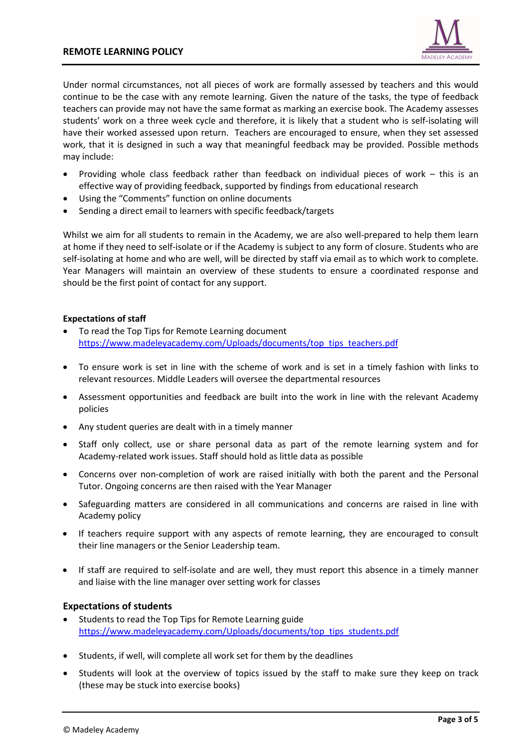

Under normal circumstances, not all pieces of work are formally assessed by teachers and this would continue to be the case with any remote learning. Given the nature of the tasks, the type of feedback teachers can provide may not have the same format as marking an exercise book. The Academy assesses students' work on a three week cycle and therefore, it is likely that a student who is self-isolating will have their worked assessed upon return. Teachers are encouraged to ensure, when they set assessed work, that it is designed in such a way that meaningful feedback may be provided. Possible methods may include:

- Providing whole class feedback rather than feedback on individual pieces of work this is an effective way of providing feedback, supported by findings from educational research
- Using the "Comments" function on online documents
- Sending a direct email to learners with specific feedback/targets

Whilst we aim for all students to remain in the Academy, we are also well-prepared to help them learn at home if they need to self-isolate or if the Academy is subject to any form of closure. Students who are self-isolating at home and who are well, will be directed by staff via email as to which work to complete. Year Managers will maintain an overview of these students to ensure a coordinated response and should be the first point of contact for any support.

#### Expectations of staff

- To read the Top Tips for Remote Learning document https://www.madeleyacademy.com/Uploads/documents/top\_tips\_teachers.pdf
- To ensure work is set in line with the scheme of work and is set in a timely fashion with links to relevant resources. Middle Leaders will oversee the departmental resources
- Assessment opportunities and feedback are built into the work in line with the relevant Academy policies
- Any student queries are dealt with in a timely manner
- Staff only collect, use or share personal data as part of the remote learning system and for Academy-related work issues. Staff should hold as little data as possible
- Concerns over non-completion of work are raised initially with both the parent and the Personal Tutor. Ongoing concerns are then raised with the Year Manager
- Safeguarding matters are considered in all communications and concerns are raised in line with Academy policy
- If teachers require support with any aspects of remote learning, they are encouraged to consult their line managers or the Senior Leadership team.
- If staff are required to self-isolate and are well, they must report this absence in a timely manner and liaise with the line manager over setting work for classes

#### Expectations of students

- Students to read the Top Tips for Remote Learning guide https://www.madeleyacademy.com/Uploads/documents/top\_tips\_students.pdf
- Students, if well, will complete all work set for them by the deadlines
- Students will look at the overview of topics issued by the staff to make sure they keep on track (these may be stuck into exercise books)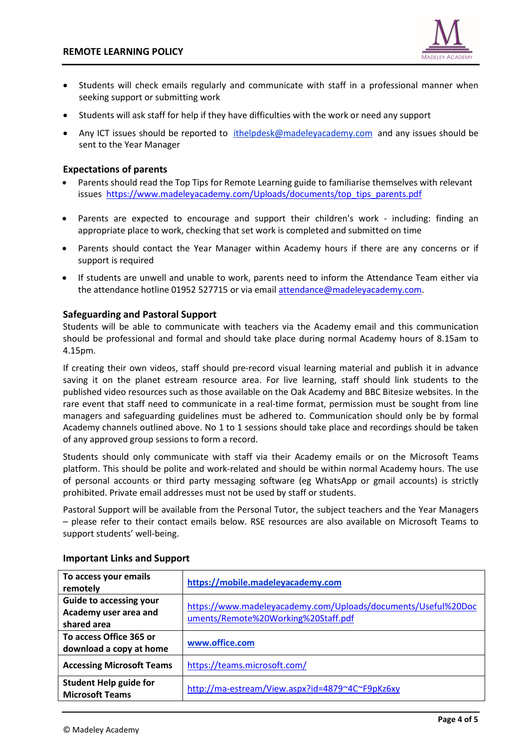

- Students will check emails regularly and communicate with staff in a professional manner when seeking support or submitting work
- Students will ask staff for help if they have difficulties with the work or need any support
- Any ICT issues should be reported to ithelpdesk@madeleyacademy.com and any issues should be sent to the Year Manager

#### Expectations of parents

- Parents should read the Top Tips for Remote Learning guide to familiarise themselves with relevant issues https://www.madeleyacademy.com/Uploads/documents/top\_tips\_parents.pdf
- Parents are expected to encourage and support their children's work including: finding an appropriate place to work, checking that set work is completed and submitted on time
- Parents should contact the Year Manager within Academy hours if there are any concerns or if support is required
- If students are unwell and unable to work, parents need to inform the Attendance Team either via the attendance hotline 01952 527715 or via email attendance@madeleyacademy.com.

#### Safeguarding and Pastoral Support

Students will be able to communicate with teachers via the Academy email and this communication should be professional and formal and should take place during normal Academy hours of 8.15am to 4.15pm.

If creating their own videos, staff should pre-record visual learning material and publish it in advance saving it on the planet estream resource area. For live learning, staff should link students to the published video resources such as those available on the Oak Academy and BBC Bitesize websites. In the rare event that staff need to communicate in a real-time format, permission must be sought from line managers and safeguarding guidelines must be adhered to. Communication should only be by formal Academy channels outlined above. No 1 to 1 sessions should take place and recordings should be taken of any approved group sessions to form a record.

Students should only communicate with staff via their Academy emails or on the Microsoft Teams platform. This should be polite and work-related and should be within normal Academy hours. The use of personal accounts or third party messaging software (eg WhatsApp or gmail accounts) is strictly prohibited. Private email addresses must not be used by staff or students.

Pastoral Support will be available from the Personal Tutor, the subject teachers and the Year Managers – please refer to their contact emails below. RSE resources are also available on Microsoft Teams to support students' well-being.

| To access your emails<br>remotely                                      | https://mobile.madeleyacademy.com                                                                    |
|------------------------------------------------------------------------|------------------------------------------------------------------------------------------------------|
| <b>Guide to accessing your</b><br>Academy user area and<br>shared area | https://www.madeleyacademy.com/Uploads/documents/Useful%20Doc<br>uments/Remote%20Working%20Staff.pdf |
| To access Office 365 or<br>download a copy at home                     | www.office.com                                                                                       |
| <b>Accessing Microsoft Teams</b>                                       | https://teams.microsoft.com/                                                                         |
| <b>Student Help guide for</b><br><b>Microsoft Teams</b>                | http://ma-estream/View.aspx?id=4879~4C~F9pKz6xy                                                      |

#### Important Links and Support